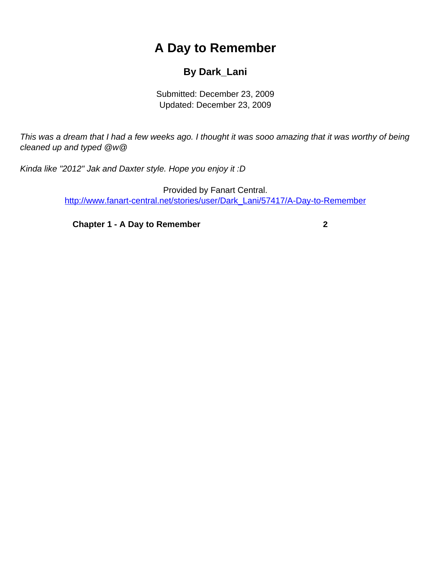## **A Day to Remember**

## **By Dark\_Lani**

Submitted: December 23, 2009 Updated: December 23, 2009

<span id="page-0-0"></span>This was a dream that I had a few weeks ago. I thought it was sooo amazing that it was worthy of being cleaned up and typed @w@

Kinda like "2012" Jak and Daxter style. Hope you enjoy it :D

Provided by Fanart Central. [http://www.fanart-central.net/stories/user/Dark\\_Lani/57417/A-Day-to-Remember](#page-0-0)

**[Chapter 1 - A Day to Remember](#page-1-0) [2](#page-1-0)**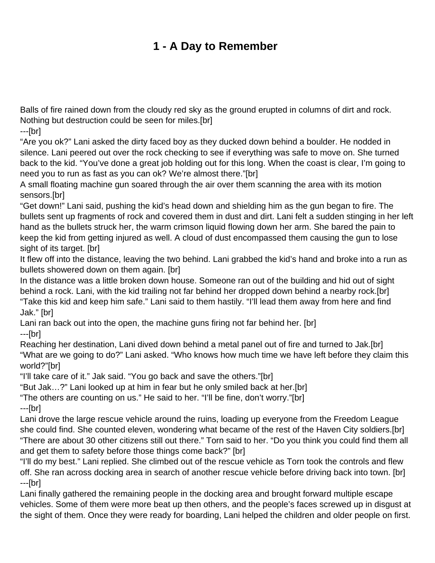## **1 - A Day to Remember**

<span id="page-1-0"></span>Balls of fire rained down from the cloudy red sky as the ground erupted in columns of dirt and rock. Nothing but destruction could be seen for miles.[br]

---[br]

"Are you ok?" Lani asked the dirty faced boy as they ducked down behind a boulder. He nodded in silence. Lani peered out over the rock checking to see if everything was safe to move on. She turned back to the kid. "You've done a great job holding out for this long. When the coast is clear, I'm going to need you to run as fast as you can ok? We're almost there."[br]

A small floating machine gun soared through the air over them scanning the area with its motion sensors.[br]

"Get down!" Lani said, pushing the kid's head down and shielding him as the gun began to fire. The bullets sent up fragments of rock and covered them in dust and dirt. Lani felt a sudden stinging in her left hand as the bullets struck her, the warm crimson liquid flowing down her arm. She bared the pain to keep the kid from getting injured as well. A cloud of dust encompassed them causing the gun to lose sight of its target. [br]

It flew off into the distance, leaving the two behind. Lani grabbed the kid's hand and broke into a run as bullets showered down on them again. [br]

In the distance was a little broken down house. Someone ran out of the building and hid out of sight behind a rock. Lani, with the kid trailing not far behind her dropped down behind a nearby rock.[br] "Take this kid and keep him safe." Lani said to them hastily. "I'll lead them away from here and find Jak." [br]

Lani ran back out into the open, the machine guns firing not far behind her. [br]

---[br]

Reaching her destination, Lani dived down behind a metal panel out of fire and turned to Jak.[br] "What are we going to do?" Lani asked. "Who knows how much time we have left before they claim this world?"[br]

"I'll take care of it." Jak said. "You go back and save the others."[br]

"But Jak…?" Lani looked up at him in fear but he only smiled back at her.[br]

"The others are counting on us." He said to her. "I'll be fine, don't worry."[br] ---[br]

Lani drove the large rescue vehicle around the ruins, loading up everyone from the Freedom League she could find. She counted eleven, wondering what became of the rest of the Haven City soldiers.[br] "There are about 30 other citizens still out there." Torn said to her. "Do you think you could find them all and get them to safety before those things come back?" [br]

"I'll do my best." Lani replied. She climbed out of the rescue vehicle as Torn took the controls and flew off. She ran across docking area in search of another rescue vehicle before driving back into town. [br] ---[br]

Lani finally gathered the remaining people in the docking area and brought forward multiple escape vehicles. Some of them were more beat up then others, and the people's faces screwed up in disgust at the sight of them. Once they were ready for boarding, Lani helped the children and older people on first.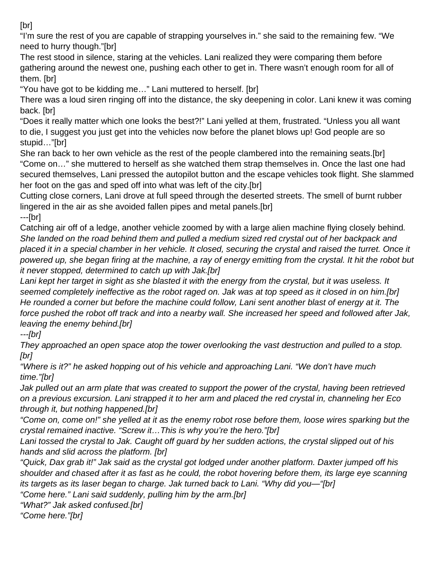[br]

"I'm sure the rest of you are capable of strapping yourselves in." she said to the remaining few. "We need to hurry though."[br]

The rest stood in silence, staring at the vehicles. Lani realized they were comparing them before gathering around the newest one, pushing each other to get in. There wasn't enough room for all of them. [br]

"You have got to be kidding me…" Lani muttered to herself. [br]

There was a loud siren ringing off into the distance, the sky deepening in color. Lani knew it was coming back. [br]

"Does it really matter which one looks the best?!" Lani yelled at them, frustrated. "Unless you all want to die, I suggest you just get into the vehicles now before the planet blows up! God people are so stupid…"[br]

She ran back to her own vehicle as the rest of the people clambered into the remaining seats.[br] "Come on…" she muttered to herself as she watched them strap themselves in. Once the last one had secured themselves, Lani pressed the autopilot button and the escape vehicles took flight. She slammed her foot on the gas and sped off into what was left of the city.[br]

Cutting close corners, Lani drove at full speed through the deserted streets. The smell of burnt rubber lingered in the air as she avoided fallen pipes and metal panels.[br]

---[br]

Catching air off of a ledge, another vehicle zoomed by with a large alien machine flying closely behind. She landed on the road behind them and pulled a medium sized red crystal out of her backpack and placed it in a special chamber in her vehicle. It closed, securing the crystal and raised the turret. Once it powered up, she began firing at the machine, a ray of energy emitting from the crystal. It hit the robot but it never stopped, determined to catch up with Jak.[br]

Lani kept her target in sight as she blasted it with the energy from the crystal, but it was useless. It seemed completely ineffective as the robot raged on. Jak was at top speed as it closed in on him.[br] He rounded a corner but before the machine could follow, Lani sent another blast of energy at it. The force pushed the robot off track and into a nearby wall. She increased her speed and followed after Jak, leaving the enemy behind.[br]

---[br]

They approached an open space atop the tower overlooking the vast destruction and pulled to a stop. [br]

"Where is it?" he asked hopping out of his vehicle and approaching Lani. "We don't have much time."[br]

Jak pulled out an arm plate that was created to support the power of the crystal, having been retrieved on a previous excursion. Lani strapped it to her arm and placed the red crystal in, channeling her Eco through it, but nothing happened.[br]

"Come on, come on!" she yelled at it as the enemy robot rose before them, loose wires sparking but the crystal remained inactive. "Screw it…This is why you're the hero."[br]

Lani tossed the crystal to Jak. Caught off guard by her sudden actions, the crystal slipped out of his hands and slid across the platform. [br]

"Quick, Dax grab it!" Jak said as the crystal got lodged under another platform. Daxter jumped off his shoulder and chased after it as fast as he could, the robot hovering before them, its large eye scanning its targets as its laser began to charge. Jak turned back to Lani. "Why did you—"[br]

"Come here." Lani said suddenly, pulling him by the arm.[br]

"What?" Jak asked confused.[br]

"Come here."[br]